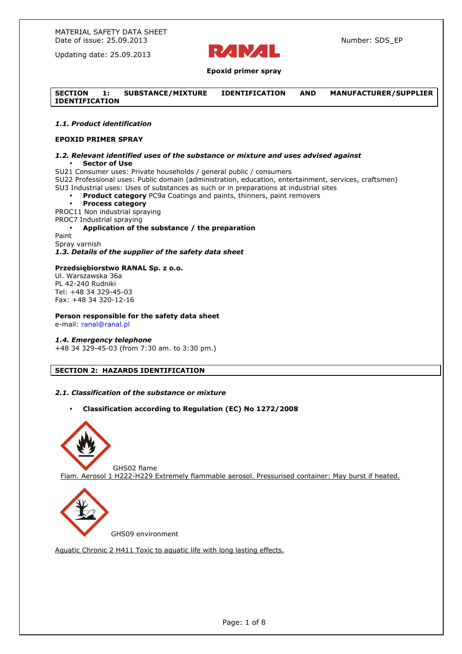

# **Epoxid primer spray**

## **SECTION 1: SUBSTANCE/MIXTURE IDENTIFICATION AND MANUFACTURER/SUPPLIER IDENTIFICATION**

#### *1.1. Product identification*

# **EPOXID PRIMER SPRAY**

#### *1.2. Relevant identified uses of the substance or mixture and uses advised against*  • **Sector of Use**

SU21 Consumer uses: Private households / general public / consumers

SU22 Professional uses: Public domain (administration, education, entertainment, services, craftsmen) SU3 Industrial uses: Uses of substances as such or in preparations at industrial sites

• **Product category** PC9a Coatings and paints, thinners, paint removers

#### • **Process category**

PROC11 Non industrial spraying

PROC7 Industrial spraying

• **Application of the substance / the preparation**  Paint Spray varnish *1.3. Details of the supplier of the safety data sheet* 

#### **Przedsiębiorstwo RANAL Sp. z o.o.**

Ul. Warszawska 36a PL 42-240 Rudniki Tel: +48 34 329-45-03 Fax: +48 34 320-12-16

#### **Person responsible for the safety data sheet**

e-mail: ranal@ranal.pl

#### *1.4. Emergency telephone*

+48 34 329-45-03 (from 7:30 am. to 3:30 pm.)

# **SECTION 2: HAZARDS IDENTIFICATION**

#### *2.1. Classification of the substance or mixture*

• **Classification according to Regulation (EC) No 1272/2008** 



 GHS02 flame Flam. Aerosol 1 H222-H229 Extremely flammable aerosol. Pressurised container: May burst if heated.



GHS09 environment

Aquatic Chronic 2 H411 Toxic to aquatic life with long lasting effects.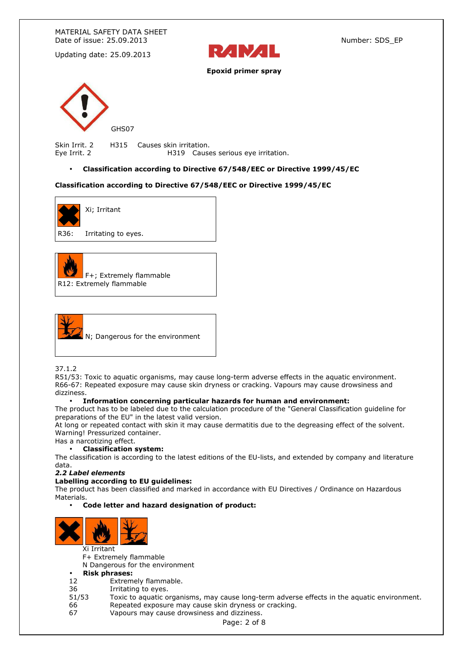MATERIAL SAFETY DATA SHEET Date of issue: 25.09.2013 Number: SDS\_EP

Updating date: 25.09.2013



**Epoxid primer spray** 



Skin Irrit. 2 H315 Causes skin irritation. Eye Irrit. 2 H319 Causes serious eye irritation.

• **Classification according to Directive 67/548/EEC or Directive 1999/45/EC**

#### **Classification according to Directive 67/548/EEC or Directive 1999/45/EC**



R36: Irritating to eyes.





37.1.2

R51/53: Toxic to aquatic organisms, may cause long-term adverse effects in the aquatic environment. R66-67: Repeated exposure may cause skin dryness or cracking. Vapours may cause drowsiness and dizziness.

#### • **Information concerning particular hazards for human and environment:**

The product has to be labeled due to the calculation procedure of the "General Classification guideline for preparations of the EU" in the latest valid version.

At long or repeated contact with skin it may cause dermatitis due to the degreasing effect of the solvent. Warning! Pressurized container.

Has a narcotizing effect.

# • **Classification system:**

The classification is according to the latest editions of the EU-lists, and extended by company and literature data.

#### *2.2 Label elements*

#### **Labelling according to EU guidelines:**

The product has been classified and marked in accordance with EU Directives / Ordinance on Hazardous Materials.

## • **Code letter and hazard designation of product:**



Xi Irritant

F+ Extremely flammable

N Dangerous for the environment

#### • **Risk phrases:**

- 12 Extremely flammable.
- 36 Irritating to eyes.
- 51/53 Toxic to aquatic organisms, may cause long-term adverse effects in the aquatic environment. 66 Repeated exposure may cause skin dryness or cracking.
- 67 Vapours may cause drowsiness and dizziness.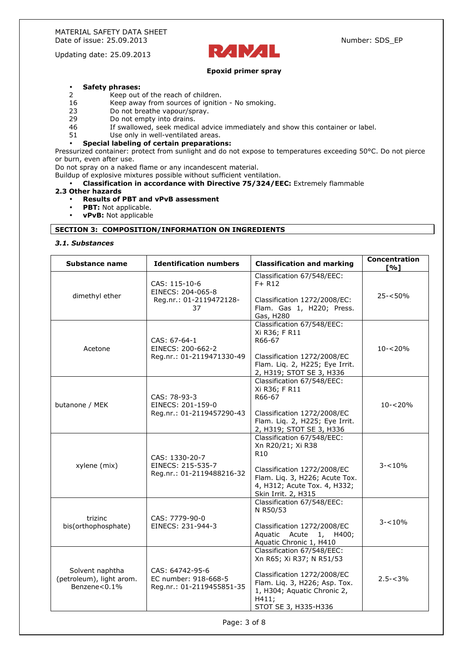

## **Epoxid primer spray**

# • **Safety phrases:**

- Keep out of the reach of children.
- 16 Keep away from sources of ignition No smoking.
- 23 Do not breathe vapour/spray.
- 29 Do not empty into drains.<br>46 Tf swallowed, seek medica
- If swallowed, seek medical advice immediately and show this container or label.
- 51 Use only in well-ventilated areas.

#### • **Special labeling of certain preparations:**

Pressurized container: protect from sunlight and do not expose to temperatures exceeding 50°C. Do not pierce or burn, even after use.

Do not spray on a naked flame or any incandescent material.

Buildup of explosive mixtures possible without sufficient ventilation.

• **Classification in accordance with Directive 75/324/EEC:** Extremely flammable

#### **2.3 Other hazards**

- **Results of PBT and vPvB assessment**
- **PBT:** Not applicable.
- **vPvB:** Not applicable

# **SECTION 3: COMPOSITION/INFORMATION ON INGREDIENTS**

# *3.1. Substances*

| Substance name                                                  | <b>Identification numbers</b>                                        | <b>Classification and marking</b>                                                                                                                                                          | Concentration<br>$\Gamma\%1$ |
|-----------------------------------------------------------------|----------------------------------------------------------------------|--------------------------------------------------------------------------------------------------------------------------------------------------------------------------------------------|------------------------------|
| dimethyl ether                                                  | CAS: 115-10-6<br>EINECS: 204-065-8<br>Reg.nr.: 01-2119472128-<br>37  | Classification 67/548/EEC:<br>$F+ R12$<br>Classification 1272/2008/EC:<br>Flam. Gas 1, H220; Press.<br>Gas, H280                                                                           | $25 - 50%$                   |
| Acetone                                                         | CAS: 67-64-1<br>EINECS: 200-662-2<br>Reg.nr.: 01-2119471330-49       | Classification 67/548/EEC:<br>Xi R36; F R11<br>R66-67<br>Classification 1272/2008/EC<br>Flam. Liq. 2, H225; Eye Irrit.<br>2, H319; STOT SE 3, H336                                         | $10 - 20%$                   |
| butanone / MEK                                                  | CAS: 78-93-3<br>EINECS: 201-159-0<br>Reg.nr.: 01-2119457290-43       | Classification 67/548/EEC:<br>Xi R36; F R11<br>R66-67<br>Classification 1272/2008/EC<br>Flam. Liq. 2, H225; Eye Irrit.<br>2, H319; STOT SE 3, H336                                         | $10 - 20%$                   |
| xylene (mix)                                                    | CAS: 1330-20-7<br>EINECS: 215-535-7<br>Reg.nr.: 01-2119488216-32     | Classification 67/548/EEC:<br>Xn R20/21; Xi R38<br>R <sub>10</sub><br>Classification 1272/2008/EC<br>Flam. Liq. 3, H226; Acute Tox.<br>4, H312; Acute Tox. 4, H332;<br>Skin Irrit. 2, H315 | $3 - 10%$                    |
| trizinc<br>bis(orthophosphate)                                  | CAS: 7779-90-0<br>EINECS: 231-944-3                                  | Classification 67/548/EEC:<br>N R50/53<br>Classification 1272/2008/EC<br>Aquatic<br>Acute 1, H400;<br>Aquatic Chronic 1, H410                                                              | $3 - 10%$                    |
| Solvent naphtha<br>(petroleum), light arom.<br>Benzene< $0.1\%$ | CAS: 64742-95-6<br>EC number: 918-668-5<br>Reg.nr.: 01-2119455851-35 | Classification 67/548/EEC:<br>Xn R65; Xi R37; N R51/53<br>Classification 1272/2008/EC<br>Flam. Liq. 3, H226; Asp. Tox.<br>1, H304; Aquatic Chronic 2,<br>H411;<br>STOT SE 3, H335-H336     | $2.5 - < 3\%$                |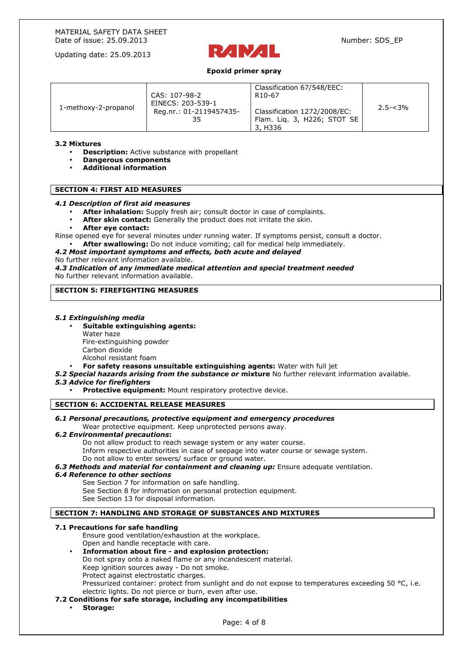

# **Epoxid primer spray**

| 1-methoxy-2-propanol | CAS: 107-98-2<br>EINECS: 203-539-1<br>Reg.nr.: 01-2119457435-<br>35 | Classification 67/548/EEC:<br>R <sub>10</sub> -67<br>Classification 1272/2008/EC:<br>Flam. Lig. 3, H226; STOT SE<br>3, H336 | $2.5 - < 3\%$ |
|----------------------|---------------------------------------------------------------------|-----------------------------------------------------------------------------------------------------------------------------|---------------|
|----------------------|---------------------------------------------------------------------|-----------------------------------------------------------------------------------------------------------------------------|---------------|

## **3.2 Mixtures**

- **Description:** Active substance with propellant
- **Dangerous components**
- **Additional information**

## **SECTION 4: FIRST AID MEASURES**

#### *4.1 Description of first aid measures*

- **After inhalation:** Supply fresh air; consult doctor in case of complaints.
- After skin contact: Generally the product does not irritate the skin.
- **After eye contact:**

Rinse opened eye for several minutes under running water. If symptoms persist, consult a doctor.

• **After swallowing:** Do not induce vomiting; call for medical help immediately.

# *4.2 Most important symptoms and effects, both acute and delayed*

No further relevant information available.

*4.3 Indication of any immediate medical attention and special treatment needed*  No further relevant information available.

# **SECTION 5: FIREFIGHTING MEASURES**

#### *5.1 Extinguishing media*

- **Suitable extinguishing agents:**  Water haze Fire-extinguishing powder Carbon dioxide Alcohol resistant foam
- **For safety reasons unsuitable extinguishing agents:** Water with full jet
- *5.2 Special hazards arising from the substance or* **mixture** No further relevant information available.

*5.3 Advice for firefighters* 

**Protective equipment: Mount respiratory protective device.** 

#### **SECTION 6: ACCIDENTAL RELEASE MEASURES**

# *6.1 Personal precautions, protective equipment and emergency procedures*

Wear protective equipment. Keep unprotected persons away.

#### *6.2 Environmental precautions***:**

Do not allow product to reach sewage system or any water course. Inform respective authorities in case of seepage into water course or sewage system.

Do not allow to enter sewers/ surface or ground water.

*6.3 Methods and material for containment and cleaning up:* Ensure adequate ventilation.

#### *6.4 Reference to other sections*

See Section 7 for information on safe handling.

See Section 8 for information on personal protection equipment.

See Section 13 for disposal information.

# **SECTION 7: HANDLING AND STORAGE OF SUBSTANCES AND MIXTURES**

#### **7.1 Precautions for safe handling**

Ensure good ventilation/exhaustion at the workplace. Open and handle receptacle with care.

• **Information about fire - and explosion protection:** 

Do not spray onto a naked flame or any incandescent material.

Keep ignition sources away - Do not smoke.

Protect against electrostatic charges.

Pressurized container: protect from sunlight and do not expose to temperatures exceeding 50 °C, i.e. electric lights. Do not pierce or burn, even after use.

- **7.2 Conditions for safe storage, including any incompatibilities** 
	- **Storage:**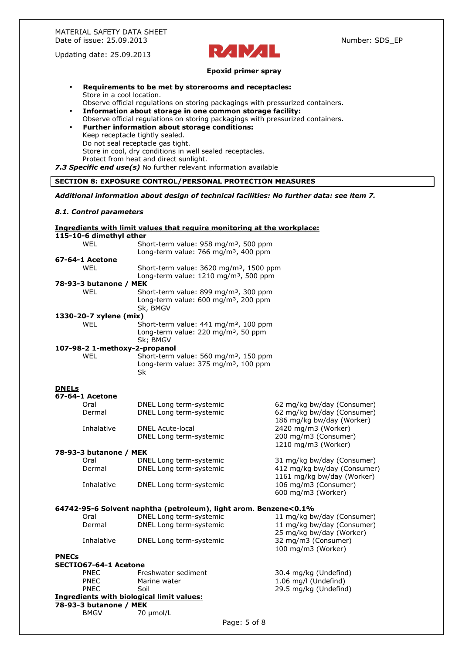

#### **Epoxid primer spray**

- **Requirements to be met by storerooms and receptacles:**  Store in a cool location.
- Observe official regulations on storing packagings with pressurized containers. • **Information about storage in one common storage facility:**
- Observe official regulations on storing packagings with pressurized containers. • **Further information about storage conditions:**  Keep receptacle tightly sealed. Do not seal receptacle gas tight. Store in cool, dry conditions in well sealed receptacles.

Protect from heat and direct sunlight.

*7.3 Specific end use(s)* No further relevant information available

# **SECTION 8: EXPOSURE CONTROL/PERSONAL PROTECTION MEASURES**

#### *Additional information about design of technical facilities: No further data: see item 7.*

#### *8.1. Control parameters*

| Ingredients with limit values that require monitoring at the workplace: |                               |                                                                  |                             |
|-------------------------------------------------------------------------|-------------------------------|------------------------------------------------------------------|-----------------------------|
|                                                                         | 115-10-6 dimethyl ether       |                                                                  |                             |
|                                                                         | <b>WEL</b>                    | Short-term value: $958 \text{ mg/m}^3$ , 500 ppm                 |                             |
|                                                                         |                               | Long-term value: 766 mg/m <sup>3</sup> , 400 ppm                 |                             |
|                                                                         | 67-64-1 Acetone               |                                                                  |                             |
|                                                                         | WEL                           | Short-term value: 3620 mg/m <sup>3</sup> , 1500 ppm              |                             |
|                                                                         |                               | Long-term value: 1210 mg/m <sup>3</sup> , 500 ppm                |                             |
|                                                                         | 78-93-3 butanone / MEK        |                                                                  |                             |
|                                                                         | WEL                           | Short-term value: 899 mg/m <sup>3</sup> , 300 ppm                |                             |
|                                                                         |                               | Long-term value: 600 mg/m <sup>3</sup> , 200 ppm                 |                             |
|                                                                         |                               | Sk, BMGV                                                         |                             |
|                                                                         | 1330-20-7 xylene (mix)        |                                                                  |                             |
|                                                                         | <b>WEL</b>                    | Short-term value: $441 \text{ mg/m}^3$ , 100 ppm                 |                             |
|                                                                         |                               | Long-term value: 220 mg/m <sup>3</sup> , 50 ppm                  |                             |
|                                                                         |                               | Sk; BMGV                                                         |                             |
|                                                                         | 107-98-2 1-methoxy-2-propanol |                                                                  |                             |
|                                                                         | <b>WEL</b>                    | Short-term value: 560 mg/m <sup>3</sup> , 150 ppm                |                             |
|                                                                         |                               | Long-term value: 375 mg/m <sup>3</sup> , 100 ppm                 |                             |
|                                                                         |                               | Sk                                                               |                             |
|                                                                         |                               |                                                                  |                             |
| <u>DNELs</u>                                                            |                               |                                                                  |                             |
|                                                                         | 67-64-1 Acetone               |                                                                  |                             |
|                                                                         | Oral                          | DNEL Long term-systemic                                          | 62 mg/kg bw/day (Consumer)  |
|                                                                         | Dermal                        | DNEL Long term-systemic                                          | 62 mg/kg bw/day (Consumer)  |
|                                                                         |                               |                                                                  | 186 mg/kg bw/day (Worker)   |
|                                                                         | Inhalative                    | <b>DNEL Acute-local</b>                                          | 2420 mg/m3 (Worker)         |
|                                                                         |                               | DNEL Long term-systemic                                          | 200 mg/m3 (Consumer)        |
|                                                                         |                               |                                                                  | 1210 mg/m3 (Worker)         |
|                                                                         | 78-93-3 butanone / MEK        |                                                                  |                             |
|                                                                         | Oral                          | DNEL Long term-systemic                                          | 31 mg/kg bw/day (Consumer)  |
|                                                                         | Dermal                        | DNEL Long term-systemic                                          | 412 mg/kg bw/day (Consumer) |
|                                                                         |                               |                                                                  | 1161 mg/kg bw/day (Worker)  |
|                                                                         | Inhalative                    | DNEL Long term-systemic                                          | 106 mg/m3 (Consumer)        |
|                                                                         |                               |                                                                  | 600 mg/m3 (Worker)          |
|                                                                         |                               |                                                                  |                             |
|                                                                         |                               | 64742-95-6 Solvent naphtha (petroleum), light arom. Benzene<0.1% |                             |
|                                                                         | Oral                          | DNEL Long term-systemic                                          | 11 mg/kg bw/day (Consumer)  |
|                                                                         | Dermal                        | DNEL Long term-systemic                                          | 11 mg/kg bw/day (Consumer)  |
|                                                                         |                               |                                                                  | 25 mg/kg bw/day (Worker)    |
|                                                                         | Inhalative                    | DNEL Long term-systemic                                          | 32 mg/m3 (Consumer)         |
|                                                                         |                               |                                                                  | 100 mg/m3 (Worker)          |
| <b>PNECs</b>                                                            |                               |                                                                  |                             |
|                                                                         | SECTIO67-64-1 Acetone         |                                                                  |                             |
|                                                                         | <b>PNEC</b>                   | Freshwater sediment                                              | 30.4 mg/kg (Undefind)       |
|                                                                         | <b>PNEC</b>                   | Marine water                                                     | 1.06 mg/l (Undefind)        |
|                                                                         | <b>PNEC</b>                   | Soil                                                             | 29.5 mg/kg (Undefind)       |
|                                                                         |                               | Ingredients with biological limit values:                        |                             |
|                                                                         | 78-93-3 butanone / MEK        |                                                                  |                             |
|                                                                         | <b>BMGV</b>                   | 70 µmol/L                                                        |                             |
|                                                                         |                               |                                                                  |                             |

Page: 5 of 8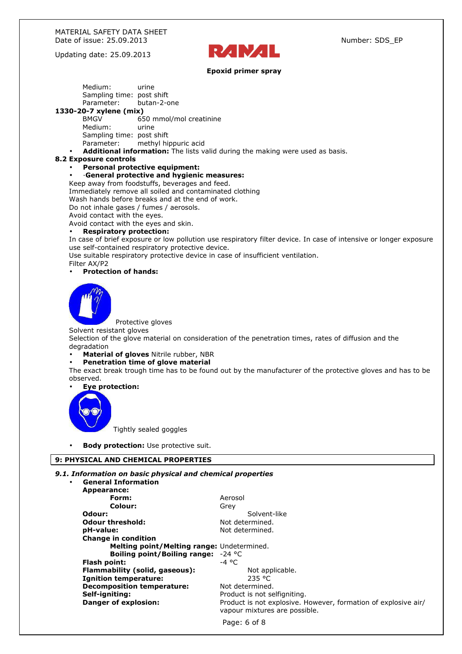

# **Epoxid primer spray**

Medium: urine Sampling time: post shift Parameter: butan-2-one **1330-20-7 xylene (mix)**  BMGV 650 mmol/mol creatinine Medium: urine Sampling time: post shift Parameter: methyl hippuric acid • **Additional information:** The lists valid during the making were used as basis. **8.2 Exposure controls**  • **Personal protective equipment:**  • ·**General protective and hygienic measures:**  Keep away from foodstuffs, beverages and feed. Immediately remove all soiled and contaminated clothing Wash hands before breaks and at the end of work. Do not inhale gases / fumes / aerosols. Avoid contact with the eyes. Avoid contact with the eyes and skin. • **Respiratory protection:**  In case of brief exposure or low pollution use respiratory filter device. In case of intensive or longer exposure use self-contained respiratory protective device. Use suitable respiratory protective device in case of insufficient ventilation. Filter AX/P2 • **Protection of hands:** Protective gloves Solvent resistant gloves Selection of the glove material on consideration of the penetration times, rates of diffusion and the degradation • **Material of gloves** Nitrile rubber, NBR • **Penetration time of glove material**  The exact break trough time has to be found out by the manufacturer of the protective gloves and has to be observed.

# • **Eye protection:**



Tightly sealed goggles

**Body protection:** Use protective suit.

# **9: PHYSICAL AND CHEMICAL PROPERTIES**

# *9.1. Information on basic physical and chemical properties*

| $\bullet$ | <b>General Information</b>                   |                                                                                                 |
|-----------|----------------------------------------------|-------------------------------------------------------------------------------------------------|
|           | Appearance:                                  |                                                                                                 |
|           | Form:                                        | Aerosol                                                                                         |
|           | Colour:                                      | Grey                                                                                            |
|           | Odour:                                       | Solvent-like                                                                                    |
|           | <b>Odour threshold:</b>                      | Not determined.                                                                                 |
|           | pH-value:                                    | Not determined.                                                                                 |
|           | <b>Change in condition</b>                   |                                                                                                 |
|           | Melting point/Melting range: Undetermined.   |                                                                                                 |
|           | <b>Boiling point/Boiling range:</b> $-24$ °C |                                                                                                 |
|           | <b>Flash point:</b>                          | $-4$ °C                                                                                         |
|           | Flammability (solid, gaseous):               | Not applicable.                                                                                 |
|           | <b>Ignition temperature:</b>                 | 235 °C                                                                                          |
|           | <b>Decomposition temperature:</b>            | Not determined.                                                                                 |
|           | Self-igniting:                               | Product is not selfigniting.                                                                    |
|           | <b>Danger of explosion:</b>                  | Product is not explosive. However, formation of explosive air/<br>vapour mixtures are possible. |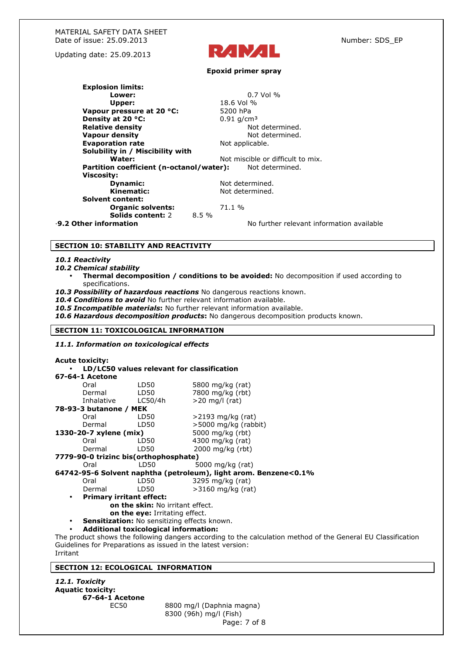

#### **Epoxid primer spray**

**Explosion limits: Lower:** 0.7 Vol % **Upper:** 18.6 Vol % **Vapour pressure at 20 °C:** 5200 hPa **Density at 20 °C:**  $0.91 \text{ g/cm}^3$ <br> **Relative density** and  $0.91 \text{ g/cm}^3$  and  $0.91 \text{ g/cm}^3$ **Relative density Vapour density Not determined. Evaporation rate Not applicable. Solubility in / Miscibility with Water:** Not miscible or difficult to mix.<br>**In coefficient (n-octanol/water):** Not determined. **Partition coefficient (n-octanol/water): Viscosity: Dynamic:** Not determined. Kinematic: Not determined. **Solvent content: Organic solvents:** 71.1 % **Solids content: 2 8.5 %** ·**9.2 Other information** No further relevant information available

#### **SECTION 10: STABILITY AND REACTIVITY**

#### *10.1 Reactivity*

- *10.2 Chemical stability* 
	- **Thermal decomposition / conditions to be avoided:** No decomposition if used according to specifications.
- *10.3 Possibility of hazardous reactions* No dangerous reactions known.
- 10.4 Conditions to avoid No further relevant information available.
- *10.5 Incompatible materials***:** No further relevant information available.
- *10.6 Hazardous decomposition products***:** No dangerous decomposition products known.

#### **SECTION 11: TOXICOLOGICAL INFORMATION**

#### *11.1. Information on toxicological effects*

**Acute toxicity:**  • **LD/LC50 values relevant for classification 67-64-1 Acetone**  Oral LD50 5800 mg/kg (rat) Dermal LD50 7800 mg/kg (rbt) Inhalative LC50/4h >20 mg/l (rat) **78-93-3 butanone / MEK**  Oral LD50 >2193 mg/kg (rat) Dermal LD50 >5000 mg/kg (rabbit) **1330-20-7 xylene (mix)** 5000 mg/kg (rbt) Oral LD50 4300 mg/kg (rat) Dermal LD50 2000 mg/kg (rbt) **7779-90-0 trizinc bis(orthophosphate)**   $LD50$  5000 mg/kg (rat) **64742-95-6 Solvent naphtha (petroleum), light arom. Benzene<0.1%**  Oral LD50 3295 mg/kg (rat)<br>Dermal LD50 >3160 mg/kg (rat Dermal LD50 >3160 mg/kg (rat) • **Primary irritant effect: on the skin:** No irritant effect. **on the eye:** Irritating effect. **Sensitization:** No sensitizing effects known.

#### • **Additional toxicological information:**

The product shows the following dangers according to the calculation method of the General EU Classification Guidelines for Preparations as issued in the latest version: Irritant

# **SECTION 12: ECOLOGICAL INFORMATION**

*12.1. Toxicity*  **Aquatic toxicity: 67-64-1 Acetone**

Page: 7 of 8 EC50 8800 mg/l (Daphnia magna) 8300 (96h) mg/l (Fish)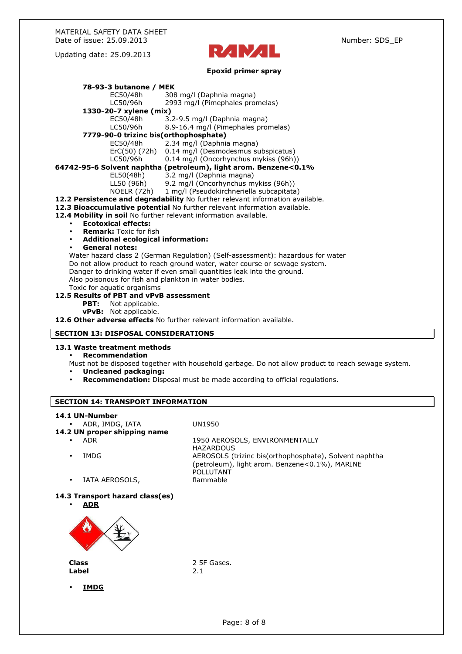

# **Epoxid primer spray**

| Epoxia primer spray                                                                                |                                                                                 |  |
|----------------------------------------------------------------------------------------------------|---------------------------------------------------------------------------------|--|
| 78-93-3 butanone / MEK                                                                             |                                                                                 |  |
| EC50/48h                                                                                           | 308 mg/l (Daphnia magna)                                                        |  |
| LC50/96h                                                                                           | 2993 mg/l (Pimephales promelas)                                                 |  |
| 1330-20-7 xylene (mix)                                                                             |                                                                                 |  |
| EC50/48h                                                                                           | 3.2-9.5 mg/l (Daphnia magna)                                                    |  |
| LC50/96h                                                                                           | 8.9-16.4 mg/l (Pimephales promelas)                                             |  |
| 7779-90-0 trizinc bis(orthophosphate)                                                              |                                                                                 |  |
| EC50/48h                                                                                           | 2.34 mg/l (Daphnia magna)                                                       |  |
| ErC(50) (72h)                                                                                      | 0.14 mg/l (Desmodesmus subspicatus)                                             |  |
| LC50/96h                                                                                           | 0.14 mg/l (Oncorhynchus mykiss (96h))                                           |  |
| 64742-95-6 Solvent naphtha (petroleum), light arom. Benzene<0.1%                                   |                                                                                 |  |
| EL50(48h)                                                                                          | 3.2 mg/l (Daphnia magna)                                                        |  |
| LL50 (96h)                                                                                         | 9.2 mg/l (Oncorhynchus mykiss (96h))                                            |  |
|                                                                                                    | NOELR (72h) 1 mg/l (Pseudokirchneriella subcapitata)                            |  |
|                                                                                                    | 12.2 Persistence and degradability No further relevant information available.   |  |
| 12.3 Bioaccumulative potential No further relevant information available.                          |                                                                                 |  |
| 12.4 Mobility in soil No further relevant information available.                                   |                                                                                 |  |
| <b>Ecotoxical effects:</b><br>$\bullet$                                                            |                                                                                 |  |
| <b>Remark:</b> Toxic for fish<br>$\bullet$                                                         |                                                                                 |  |
| <b>Additional ecological information:</b><br>$\bullet$                                             |                                                                                 |  |
| <b>General notes:</b><br>$\bullet$                                                                 |                                                                                 |  |
|                                                                                                    | Water hazard class 2 (German Regulation) (Self-assessment): hazardous for water |  |
|                                                                                                    | Do not allow product to reach ground water, water course or sewage system.      |  |
| Danger to drinking water if even small quantities leak into the ground.                            |                                                                                 |  |
| Also poisonous for fish and plankton in water bodies.                                              |                                                                                 |  |
| Toxic for aquatic organisms                                                                        |                                                                                 |  |
| 12.5 Results of PBT and vPvB assessment                                                            |                                                                                 |  |
| PBT:<br>Not applicable.                                                                            |                                                                                 |  |
| vPvB: Not applicable.                                                                              |                                                                                 |  |
| 12.6 Other adverse effects No further relevant information available.                              |                                                                                 |  |
| <b>SECTION 13: DISPOSAL CONSIDERATIONS</b>                                                         |                                                                                 |  |
|                                                                                                    |                                                                                 |  |
| 13.1 Waste treatment methods                                                                       |                                                                                 |  |
| <b>Recommendation</b>                                                                              |                                                                                 |  |
| Must not be disposed together with household garbage. Do not allow product to reach sewage system. |                                                                                 |  |
| <b>Uncleaned packaging:</b><br>$\bullet$                                                           |                                                                                 |  |
| $\bullet$                                                                                          | Recommendation: Disposal must be made according to official regulations.        |  |
|                                                                                                    |                                                                                 |  |
| <b>SECTION 14: TRANSPORT INFORMATION</b>                                                           |                                                                                 |  |
|                                                                                                    |                                                                                 |  |
| 14.1 UN-Number                                                                                     |                                                                                 |  |
| ADR, IMDG, IATA                                                                                    | UN1950                                                                          |  |
| 14.2 UN proper shipping name                                                                       |                                                                                 |  |
| <b>ADR</b>                                                                                         | 1950 AEROSOLS, ENVIRONMENTALLY                                                  |  |
|                                                                                                    | <b>HAZARDOUS</b>                                                                |  |
| <b>IMDG</b>                                                                                        | AEROSOLS (trizinc bis(orthophosphate), Solvent naphtha                          |  |
|                                                                                                    | (petroleum), light arom. Benzene<0.1%), MARINE                                  |  |
|                                                                                                    | <b>POLLUTANT</b>                                                                |  |
| IATA AEROSOLS,                                                                                     | flammable                                                                       |  |
|                                                                                                    |                                                                                 |  |
| 14.3 Transport hazard class(es)                                                                    |                                                                                 |  |
| <u>ADR</u>                                                                                         |                                                                                 |  |
|                                                                                                    |                                                                                 |  |



Label

**Class** 2 5F Gases.

• **IMDG**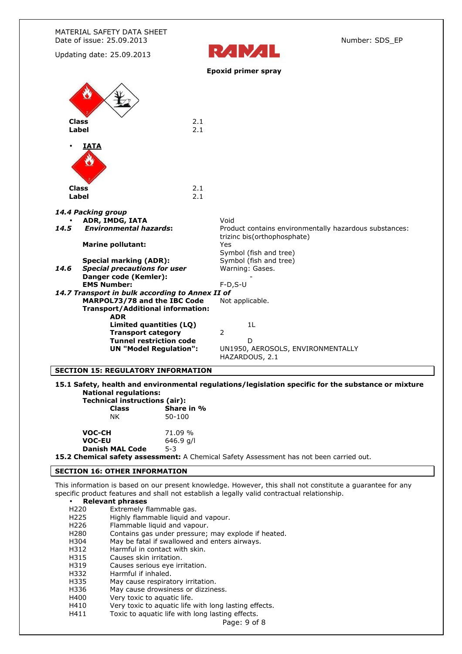| MATERIAL SAFETY DATA SHEET<br>Date of issue: 25.09.2013                                                                                                                            | Number: SDS_EP                                                                                |
|------------------------------------------------------------------------------------------------------------------------------------------------------------------------------------|-----------------------------------------------------------------------------------------------|
| Updating date: 25.09.2013                                                                                                                                                          | RAMAL                                                                                         |
|                                                                                                                                                                                    | <b>Epoxid primer spray</b>                                                                    |
| 2.1<br><b>Class</b><br>2.1<br>Label                                                                                                                                                |                                                                                               |
| IATA<br><b>Class</b><br>2.1<br>2.1<br>Label                                                                                                                                        |                                                                                               |
| 14.4 Packing group                                                                                                                                                                 |                                                                                               |
| ADR, IMDG, IATA<br><b>Environmental hazards:</b><br>14.5                                                                                                                           | Void<br>Product contains environmentally hazardous substances:<br>trizinc bis(orthophosphate) |
| <b>Marine pollutant:</b>                                                                                                                                                           | Yes<br>Symbol (fish and tree)                                                                 |
| <b>Special marking (ADR):</b><br>Special precautions for user<br>14.6<br>Danger code (Kemler):                                                                                     | Symbol (fish and tree)<br>Warning: Gases.                                                     |
| <b>EMS Number:</b><br>$F-D, S-U$<br>14.7 Transport in bulk according to Annex II of<br>MARPOL73/78 and the IBC Code<br>Not applicable.<br><b>Transport/Additional information:</b> |                                                                                               |
| <b>ADR</b><br>Limited quantities (LQ)<br><b>Transport category</b><br><b>Tunnel restriction code</b><br><b>UN "Model Regulation":</b>                                              | 1L<br>2<br>D<br>UN1950, AEROSOLS, ENVIRONMENTALLY<br>HAZARDOUS, 2.1                           |
| <b>SECTION 15: REGULATORY INFORMATION</b>                                                                                                                                          |                                                                                               |

# **15.1 Safety, health and environmental regulations/legislation specific for the substance or mixture National regulations:**

|                        | Technical instructions (air):                                           |  |
|------------------------|-------------------------------------------------------------------------|--|
| <b>Class</b>           | Share in %                                                              |  |
| ΝK                     | 50-100                                                                  |  |
| VOC-CH                 | 71.09 %                                                                 |  |
| VOC-EU                 | $646.9$ q/l                                                             |  |
| <b>Danish MAL Code</b> | $5-3$                                                                   |  |
|                        | <b>1E 3 Chamical esfatu sessesment:</b> A Chamical Cafety Accorporation |  |

**15.2 Chemical safety assessment:** A Chemical Safety Assessment has not been carried out.

# **SECTION 16: OTHER INFORMATION**

This information is based on our present knowledge. However, this shall not constitute a guarantee for any specific product features and shall not establish a legally valid contractual relationship.

# • **Relevant phrases**

- H220 Extremely flammable gas.
- H225 Highly flammable liquid and vapour.
- H226 Flammable liquid and vapour.
- H280 Contains gas under pressure; may explode if heated.<br>H304 May be fatal if swallowed and enters airways.
- H304 May be fatal if swallowed and enters airways.<br>H312 Harmful in contact with skin.
- Harmful in contact with skin.
- H315 Causes skin irritation.
- H319 Causes serious eye irritation.<br>H332 Harmful if inhaled.
- Harmful if inhaled.
- H335 May cause respiratory irritation.
- H336 May cause drowsiness or dizziness.
- H400 Very toxic to aquatic life.
- H410 Very toxic to aquatic life with long lasting effects.
- H411 Toxic to aquatic life with long lasting effects.

Page: 9 of 8